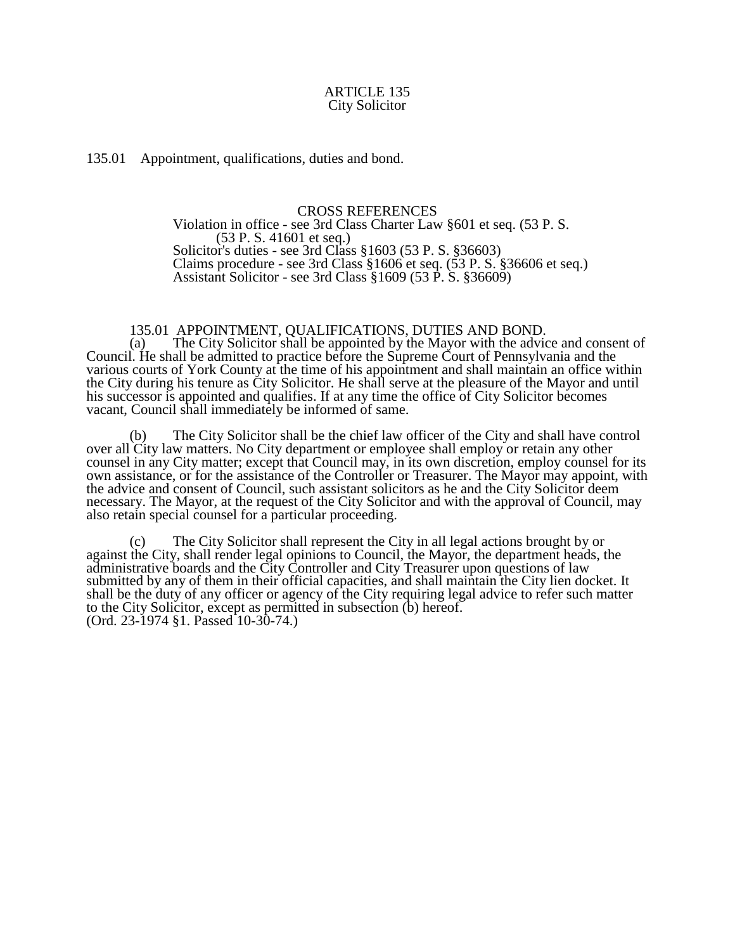## ARTICLE 135 City Solicitor

135.01 Appointment, qualifications, duties and bond.

## CROSS REFERENCES

Violation in office - see 3rd Class Charter Law §601 et seq. (53 P. S. (53 P. S. 41601 et seq.) Solicitor's duties - see 3rd Class §1603 (53 P. S. §36603) Claims procedure - see 3rd Class §1606 et seq. (53 P. S. §36606 et seq.) Assistant Solicitor - see 3rd Class §1609 (53 P. S. §36609)

## 135.01 APPOINTMENT, QUALIFICATIONS, DUTIES AND BOND.

(a) The City Solicitor shall be appointed by the Mayor with the advice and consent of Council. He shall be admitted to practice before the Supreme Court of Pennsylvania and the various courts of York County at the time of his appointment and shall maintain an office within the City during his tenure as City Solicitor. He shall serve at the pleasure of the Mayor and until his successor is appointed and qualifies. If at any time the office of City Solicitor becomes vacant, Council shall immediately be informed of same.

(b) The City Solicitor shall be the chief law officer of the City and shall have control over all City law matters. No City department or employee shall employ or retain any other counsel in any City matter; except that Council may, in its own discretion, employ counsel for its own assistance, or for the assistance of the Controller or Treasurer. The Mayor may appoint, with the advice and consent of Council, such assistant solicitors as he and the City Solicitor deem necessary. The Mayor, at the request of the City Solicitor and with the approval of Council, may also retain special counsel for a particular proceeding.

(c) The City Solicitor shall represent the City in all legal actions brought by or against the City, shall render legal opinions to Council, the Mayor, the department heads, the administrative boards and the City Controller and City Treasurer upon questions of law submitted by any of them in their official capacities, and shall maintain the City lien docket. It shall be the duty of any officer or agency of the City requiring legal advice to refer such matter to the City Solicitor, except as permitted in subsection (b) hereof. (Ord. 23-1974 §1. Passed 10-30-74.)